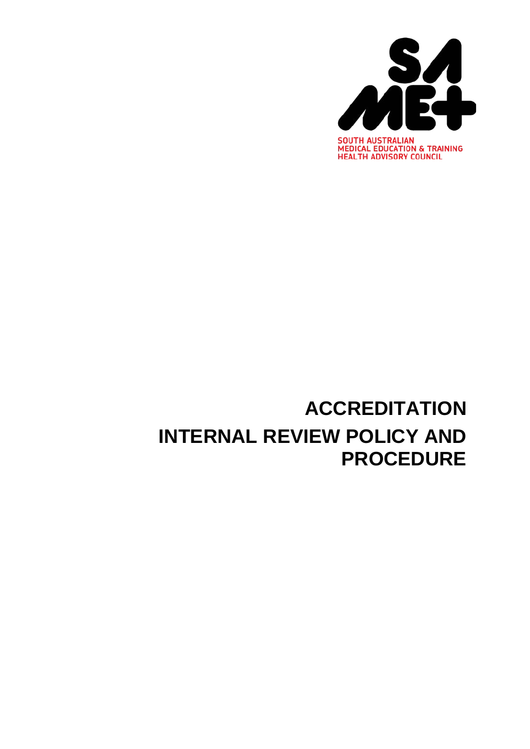

# **ACCREDITATION INTERNAL REVIEW POLICY AND PROCEDURE**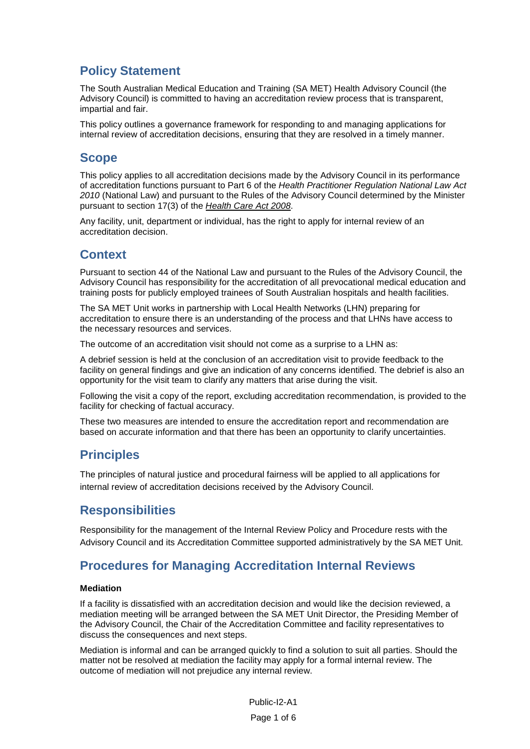### **Policy Statement**

The South Australian Medical Education and Training (SA MET) Health Advisory Council (the Advisory Council) is committed to having an accreditation review process that is transparent, impartial and fair.

This policy outlines a governance framework for responding to and managing applications for internal review of accreditation decisions, ensuring that they are resolved in a timely manner.

### **Scope**

This policy applies to all accreditation decisions made by the Advisory Council in its performance of accreditation functions pursuant to Part 6 of the *Health Practitioner Regulation National Law Act 2010* (National Law) and pursuant to the Rules of the Advisory Council determined by the Minister pursuant to section 17(3) of the *Health Care Act 2008*.

Any facility, unit, department or individual, has the right to apply for internal review of an accreditation decision.

### **Context**

Pursuant to section 44 of the National Law and pursuant to the Rules of the Advisory Council, the Advisory Council has responsibility for the accreditation of all prevocational medical education and training posts for publicly employed trainees of South Australian hospitals and health facilities.

The SA MET Unit works in partnership with Local Health Networks (LHN) preparing for accreditation to ensure there is an understanding of the process and that LHNs have access to the necessary resources and services.

The outcome of an accreditation visit should not come as a surprise to a LHN as:

A debrief session is held at the conclusion of an accreditation visit to provide feedback to the facility on general findings and give an indication of any concerns identified. The debrief is also an opportunity for the visit team to clarify any matters that arise during the visit.

Following the visit a copy of the report, excluding accreditation recommendation, is provided to the facility for checking of factual accuracy.

These two measures are intended to ensure the accreditation report and recommendation are based on accurate information and that there has been an opportunity to clarify uncertainties.

### **Principles**

The principles of natural justice and procedural fairness will be applied to all applications for internal review of accreditation decisions received by the Advisory Council.

### **Responsibilities**

Responsibility for the management of the Internal Review Policy and Procedure rests with the Advisory Council and its Accreditation Committee supported administratively by the SA MET Unit.

### **Procedures for Managing Accreditation Internal Reviews**

#### **Mediation**

If a facility is dissatisfied with an accreditation decision and would like the decision reviewed, a mediation meeting will be arranged between the SA MET Unit Director, the Presiding Member of the Advisory Council, the Chair of the Accreditation Committee and facility representatives to discuss the consequences and next steps.

Mediation is informal and can be arranged quickly to find a solution to suit all parties. Should the matter not be resolved at mediation the facility may apply for a formal internal review. The outcome of mediation will not prejudice any internal review.

> Public-I2-A1 Page 1 of 6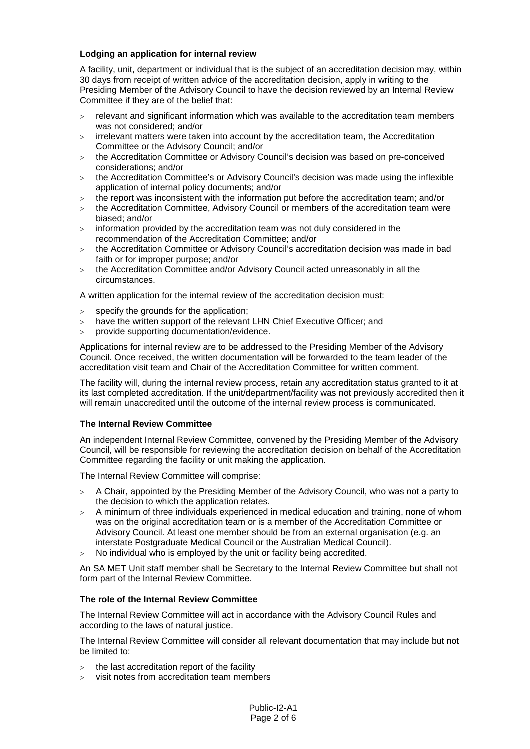#### **Lodging an application for internal review**

A facility, unit, department or individual that is the subject of an accreditation decision may, within 30 days from receipt of written advice of the accreditation decision, apply in writing to the Presiding Member of the Advisory Council to have the decision reviewed by an Internal Review Committee if they are of the belief that:

- > relevant and significant information which was available to the accreditation team members was not considered; and/or
- $>$  irrelevant matters were taken into account by the accreditation team, the Accreditation Committee or the Advisory Council; and/or
- > the Accreditation Committee or Advisory Council's decision was based on pre-conceived considerations; and/or
- > the Accreditation Committee's or Advisory Council's decision was made using the inflexible application of internal policy documents; and/or
- > the report was inconsistent with the information put before the accreditation team; and/or
- > the Accreditation Committee, Advisory Council or members of the accreditation team were biased; and/or
- > information provided by the accreditation team was not duly considered in the recommendation of the Accreditation Committee; and/or
- > the Accreditation Committee or Advisory Council's accreditation decision was made in bad faith or for improper purpose; and/or
- > the Accreditation Committee and/or Advisory Council acted unreasonably in all the circumstances.

A written application for the internal review of the accreditation decision must:

- > specify the grounds for the application;
- > have the written support of the relevant LHN Chief Executive Officer; and
- > provide supporting documentation/evidence.

Applications for internal review are to be addressed to the Presiding Member of the Advisory Council. Once received, the written documentation will be forwarded to the team leader of the accreditation visit team and Chair of the Accreditation Committee for written comment.

The facility will, during the internal review process, retain any accreditation status granted to it at its last completed accreditation. If the unit/department/facility was not previously accredited then it will remain unaccredited until the outcome of the internal review process is communicated.

#### **The Internal Review Committee**

An independent Internal Review Committee, convened by the Presiding Member of the Advisory Council, will be responsible for reviewing the accreditation decision on behalf of the Accreditation Committee regarding the facility or unit making the application.

The Internal Review Committee will comprise:

- > A Chair, appointed by the Presiding Member of the Advisory Council, who was not a party to the decision to which the application relates.
- $>$  A minimum of three individuals experienced in medical education and training, none of whom was on the original accreditation team or is a member of the Accreditation Committee or Advisory Council. At least one member should be from an external organisation (e.g. an interstate Postgraduate Medical Council or the Australian Medical Council).
- > No individual who is employed by the unit or facility being accredited.

An SA MET Unit staff member shall be Secretary to the Internal Review Committee but shall not form part of the Internal Review Committee.

#### **The role of the Internal Review Committee**

The Internal Review Committee will act in accordance with the Advisory Council Rules and according to the laws of natural justice.

The Internal Review Committee will consider all relevant documentation that may include but not be limited to:

- > the last accreditation report of the facility
- > visit notes from accreditation team members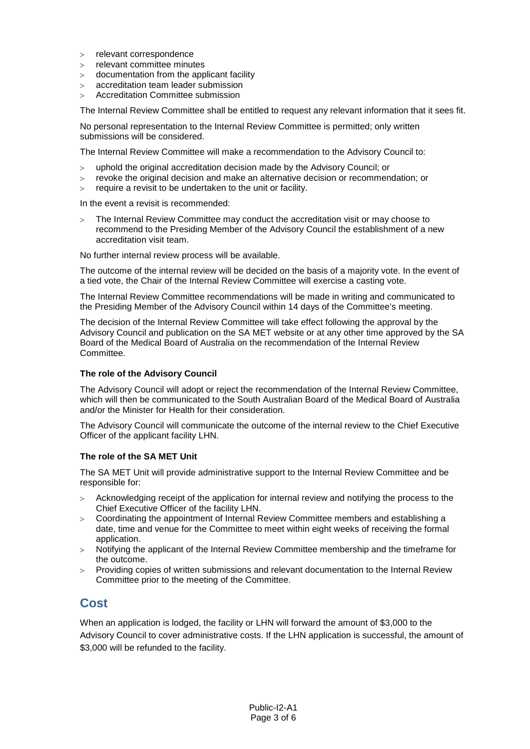- > relevant correspondence
- > relevant committee minutes
- > documentation from the applicant facility
- > accreditation team leader submission
- > Accreditation Committee submission

The Internal Review Committee shall be entitled to request any relevant information that it sees fit.

No personal representation to the Internal Review Committee is permitted; only written submissions will be considered.

The Internal Review Committee will make a recommendation to the Advisory Council to:

- > uphold the original accreditation decision made by the Advisory Council; or
- > revoke the original decision and make an alternative decision or recommendation; or
- > require a revisit to be undertaken to the unit or facility.

In the event a revisit is recommended:

> The Internal Review Committee may conduct the accreditation visit or may choose to recommend to the Presiding Member of the Advisory Council the establishment of a new accreditation visit team.

No further internal review process will be available.

The outcome of the internal review will be decided on the basis of a majority vote. In the event of a tied vote, the Chair of the Internal Review Committee will exercise a casting vote.

The Internal Review Committee recommendations will be made in writing and communicated to the Presiding Member of the Advisory Council within 14 days of the Committee's meeting.

The decision of the Internal Review Committee will take effect following the approval by the Advisory Council and publication on the SA MET website or at any other time approved by the SA Board of the Medical Board of Australia on the recommendation of the Internal Review Committee.

#### **The role of the Advisory Council**

The Advisory Council will adopt or reject the recommendation of the Internal Review Committee, which will then be communicated to the South Australian Board of the Medical Board of Australia and/or the Minister for Health for their consideration.

The Advisory Council will communicate the outcome of the internal review to the Chief Executive Officer of the applicant facility LHN.

#### **The role of the SA MET Unit**

The SA MET Unit will provide administrative support to the Internal Review Committee and be responsible for:

- > Acknowledging receipt of the application for internal review and notifying the process to the Chief Executive Officer of the facility LHN.
- > Coordinating the appointment of Internal Review Committee members and establishing a date, time and venue for the Committee to meet within eight weeks of receiving the formal application.
- > Notifying the applicant of the Internal Review Committee membership and the timeframe for the outcome.
- > Providing copies of written submissions and relevant documentation to the Internal Review Committee prior to the meeting of the Committee.

### **Cost**

When an application is lodged, the facility or LHN will forward the amount of \$3,000 to the Advisory Council to cover administrative costs. If the LHN application is successful, the amount of \$3,000 will be refunded to the facility.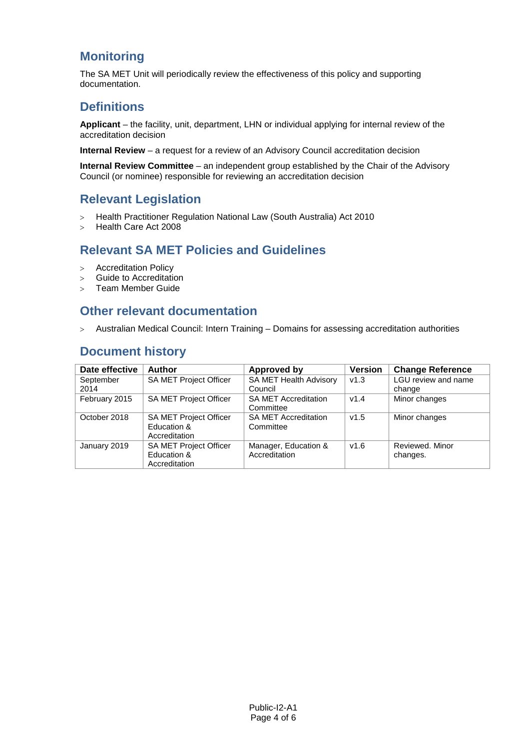# **Monitoring**

The SA MET Unit will periodically review the effectiveness of this policy and supporting documentation.

### **Definitions**

**Applicant** – the facility, unit, department, LHN or individual applying for internal review of the accreditation decision

**Internal Review** – a request for a review of an Advisory Council accreditation decision

**Internal Review Committee** – an independent group established by the Chair of the Advisory Council (or nominee) responsible for reviewing an accreditation decision

### **Relevant Legislation**

- > Health Practitioner Regulation National Law (South Australia) Act 2010
- > Health Care Act 2008

# **Relevant SA MET Policies and Guidelines**

- > Accreditation Policy
- > Guide to Accreditation
- > Team Member Guide

### **Other relevant documentation**

> Australian Medical Council: Intern Training – Domains for assessing accreditation authorities

### **Document history**

| Date effective | <b>Author</b>                 | <b>Approved by</b>          | <b>Version</b> | <b>Change Reference</b> |
|----------------|-------------------------------|-----------------------------|----------------|-------------------------|
| September      | <b>SA MET Project Officer</b> | SA MET Health Advisory      | v1.3           | LGU review and name     |
| 2014           |                               | Council                     |                | change                  |
| February 2015  | <b>SA MET Project Officer</b> | <b>SA MET Accreditation</b> | v1.4           | Minor changes           |
|                |                               | Committee                   |                |                         |
| October 2018   | SA MET Project Officer        | <b>SA MET Accreditation</b> | v1.5           | Minor changes           |
|                | Education &                   | Committee                   |                |                         |
|                | Accreditation                 |                             |                |                         |
| January 2019   | SA MET Project Officer        | Manager, Education &        | V1.6           | Reviewed, Minor         |
|                | Education &                   | Accreditation               |                | changes.                |
|                | Accreditation                 |                             |                |                         |